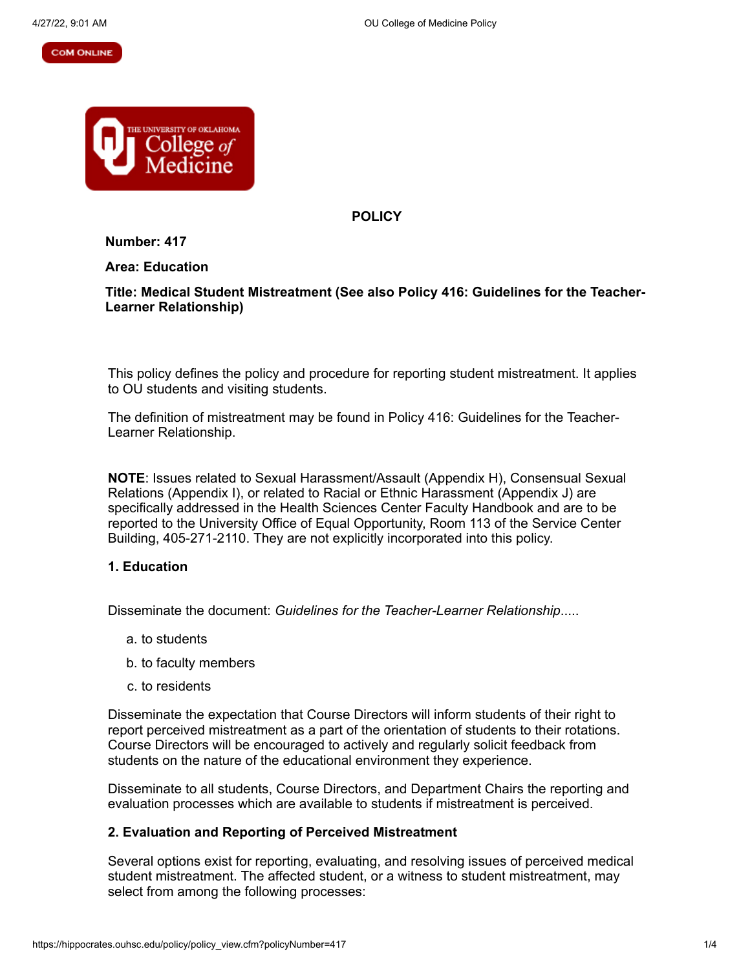#### **COM ONLINE**



**POLICY**

**Number: 417**

**Area: Education**

## **Title: Medical Student Mistreatment (See also Policy 416: Guidelines for the Teacher-Learner Relationship)**

This policy defines the policy and procedure for reporting student mistreatment. It applies to OU students and visiting students.

The definition of mistreatment may be found in Policy 416: Guidelines for the Teacher-Learner Relationship.

**NOTE**: Issues related to Sexual Harassment/Assault (Appendix H), Consensual Sexual Relations (Appendix I), or related to Racial or Ethnic Harassment (Appendix J) are specifically addressed in the Health Sciences Center Faculty Handbook and are to be reported to the University Office of Equal Opportunity, Room 113 of the Service Center Building, 405-271-2110. They are not explicitly incorporated into this policy.

### **1. Education**

Disseminate the document: *Guidelines for the Teacher-Learner Relationship*.....

- a. to students
- b. to faculty members
- c. to residents

Disseminate the expectation that Course Directors will inform students of their right to report perceived mistreatment as a part of the orientation of students to their rotations. Course Directors will be encouraged to actively and regularly solicit feedback from students on the nature of the educational environment they experience.

Disseminate to all students, Course Directors, and Department Chairs the reporting and evaluation processes which are available to students if mistreatment is perceived.

### **2. Evaluation and Reporting of Perceived Mistreatment**

Several options exist for reporting, evaluating, and resolving issues of perceived medical student mistreatment. The affected student, or a witness to student mistreatment, may select from among the following processes: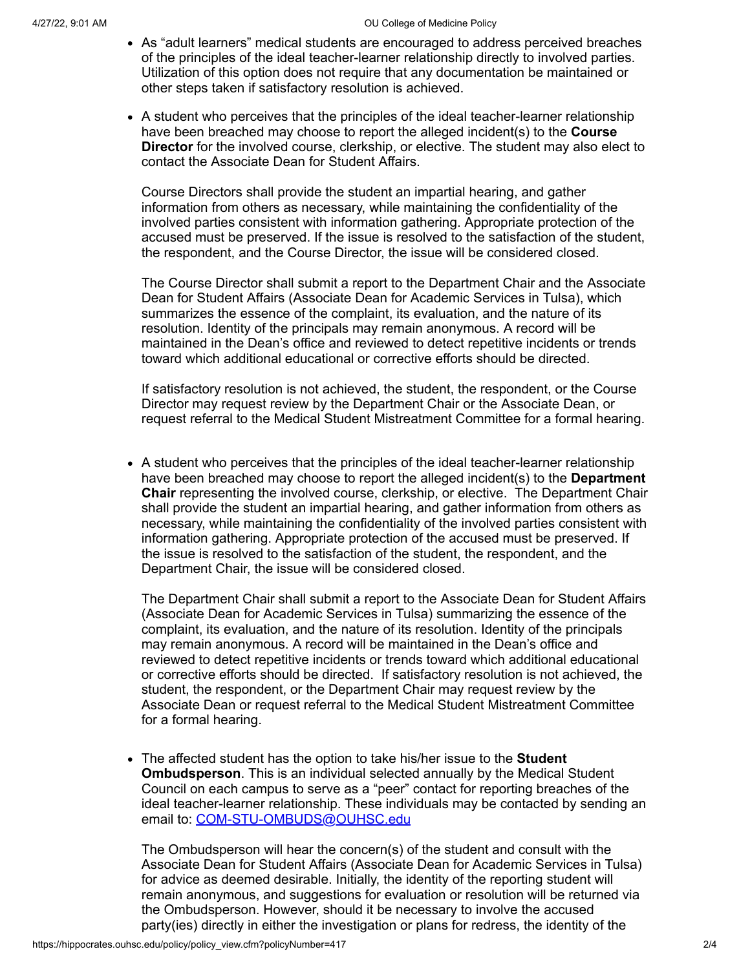- As "adult learners" medical students are encouraged to address perceived breaches of the principles of the ideal teacher-learner relationship directly to involved parties. Utilization of this option does not require that any documentation be maintained or other steps taken if satisfactory resolution is achieved.
- A student who perceives that the principles of the ideal teacher-learner relationship have been breached may choose to report the alleged incident(s) to the **Course Director** for the involved course, clerkship, or elective. The student may also elect to contact the Associate Dean for Student Affairs.

Course Directors shall provide the student an impartial hearing, and gather information from others as necessary, while maintaining the confidentiality of the involved parties consistent with information gathering. Appropriate protection of the accused must be preserved. If the issue is resolved to the satisfaction of the student, the respondent, and the Course Director, the issue will be considered closed.

The Course Director shall submit a report to the Department Chair and the Associate Dean for Student Affairs (Associate Dean for Academic Services in Tulsa), which summarizes the essence of the complaint, its evaluation, and the nature of its resolution. Identity of the principals may remain anonymous. A record will be maintained in the Dean's office and reviewed to detect repetitive incidents or trends toward which additional educational or corrective efforts should be directed.

If satisfactory resolution is not achieved, the student, the respondent, or the Course Director may request review by the Department Chair or the Associate Dean, or request referral to the Medical Student Mistreatment Committee for a formal hearing.

A student who perceives that the principles of the ideal teacher-learner relationship have been breached may choose to report the alleged incident(s) to the **Department Chair** representing the involved course, clerkship, or elective. The Department Chair shall provide the student an impartial hearing, and gather information from others as necessary, while maintaining the confidentiality of the involved parties consistent with information gathering. Appropriate protection of the accused must be preserved. If the issue is resolved to the satisfaction of the student, the respondent, and the Department Chair, the issue will be considered closed.

The Department Chair shall submit a report to the Associate Dean for Student Affairs (Associate Dean for Academic Services in Tulsa) summarizing the essence of the complaint, its evaluation, and the nature of its resolution. Identity of the principals may remain anonymous. A record will be maintained in the Dean's office and reviewed to detect repetitive incidents or trends toward which additional educational or corrective efforts should be directed. If satisfactory resolution is not achieved, the student, the respondent, or the Department Chair may request review by the Associate Dean or request referral to the Medical Student Mistreatment Committee for a formal hearing.

The affected student has the option to take his/her issue to the **Student Ombudsperson**. This is an individual selected annually by the Medical Student Council on each campus to serve as a "peer" contact for reporting breaches of the ideal teacher-learner relationship. These individuals may be contacted by sending an email to: [COM-STU-OMBUDS@OUHSC.edu](mailto:COM-STU-OMBUDS@OUHSC.edu)

The Ombudsperson will hear the concern(s) of the student and consult with the Associate Dean for Student Affairs (Associate Dean for Academic Services in Tulsa) for advice as deemed desirable. Initially, the identity of the reporting student will remain anonymous, and suggestions for evaluation or resolution will be returned via the Ombudsperson. However, should it be necessary to involve the accused party(ies) directly in either the investigation or plans for redress, the identity of the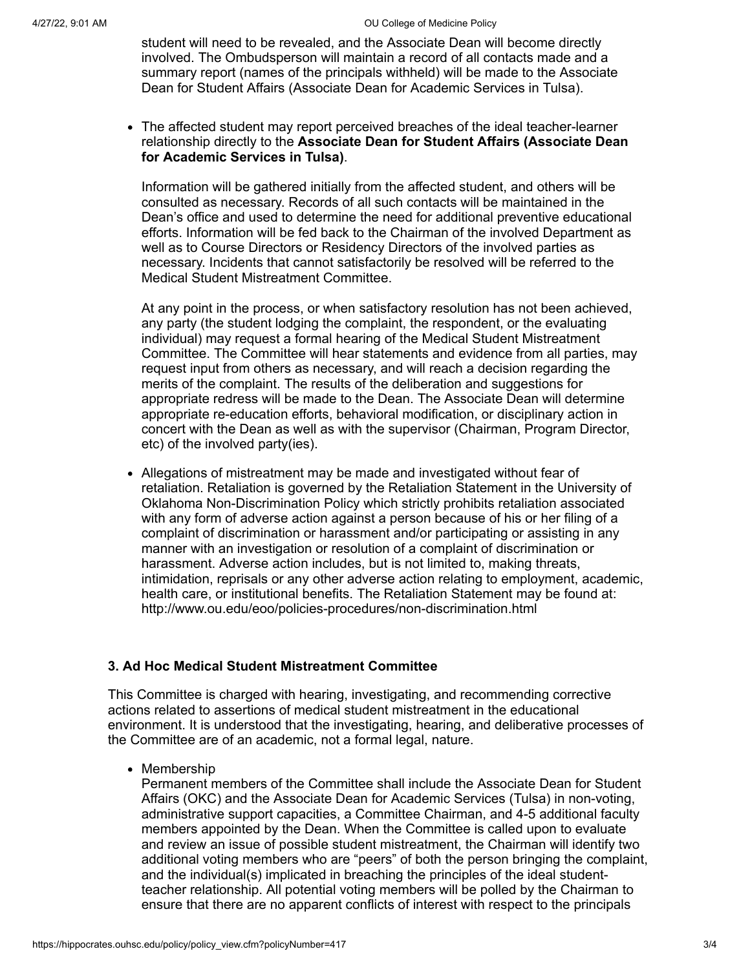student will need to be revealed, and the Associate Dean will become directly involved. The Ombudsperson will maintain a record of all contacts made and a summary report (names of the principals withheld) will be made to the Associate Dean for Student Affairs (Associate Dean for Academic Services in Tulsa).

The affected student may report perceived breaches of the ideal teacher-learner relationship directly to the **Associate Dean for Student Affairs (Associate Dean for Academic Services in Tulsa)**.

Information will be gathered initially from the affected student, and others will be consulted as necessary. Records of all such contacts will be maintained in the Dean's office and used to determine the need for additional preventive educational efforts. Information will be fed back to the Chairman of the involved Department as well as to Course Directors or Residency Directors of the involved parties as necessary. Incidents that cannot satisfactorily be resolved will be referred to the Medical Student Mistreatment Committee.

At any point in the process, or when satisfactory resolution has not been achieved, any party (the student lodging the complaint, the respondent, or the evaluating individual) may request a formal hearing of the Medical Student Mistreatment Committee. The Committee will hear statements and evidence from all parties, may request input from others as necessary, and will reach a decision regarding the merits of the complaint. The results of the deliberation and suggestions for appropriate redress will be made to the Dean. The Associate Dean will determine appropriate re-education efforts, behavioral modification, or disciplinary action in concert with the Dean as well as with the supervisor (Chairman, Program Director, etc) of the involved party(ies).

Allegations of mistreatment may be made and investigated without fear of retaliation. Retaliation is governed by the Retaliation Statement in the University of Oklahoma Non-Discrimination Policy which strictly prohibits retaliation associated with any form of adverse action against a person because of his or her filing of a complaint of discrimination or harassment and/or participating or assisting in any manner with an investigation or resolution of a complaint of discrimination or harassment. Adverse action includes, but is not limited to, making threats, intimidation, reprisals or any other adverse action relating to employment, academic, health care, or institutional benefits. The Retaliation Statement may be found at: http://www.ou.edu/eoo/policies-procedures/non-discrimination.html

# **3. Ad Hoc Medical Student Mistreatment Committee**

This Committee is charged with hearing, investigating, and recommending corrective actions related to assertions of medical student mistreatment in the educational environment. It is understood that the investigating, hearing, and deliberative processes of the Committee are of an academic, not a formal legal, nature.

• Membership

Permanent members of the Committee shall include the Associate Dean for Student Affairs (OKC) and the Associate Dean for Academic Services (Tulsa) in non-voting, administrative support capacities, a Committee Chairman, and 4-5 additional faculty members appointed by the Dean. When the Committee is called upon to evaluate and review an issue of possible student mistreatment, the Chairman will identify two additional voting members who are "peers" of both the person bringing the complaint, and the individual(s) implicated in breaching the principles of the ideal studentteacher relationship. All potential voting members will be polled by the Chairman to ensure that there are no apparent conflicts of interest with respect to the principals